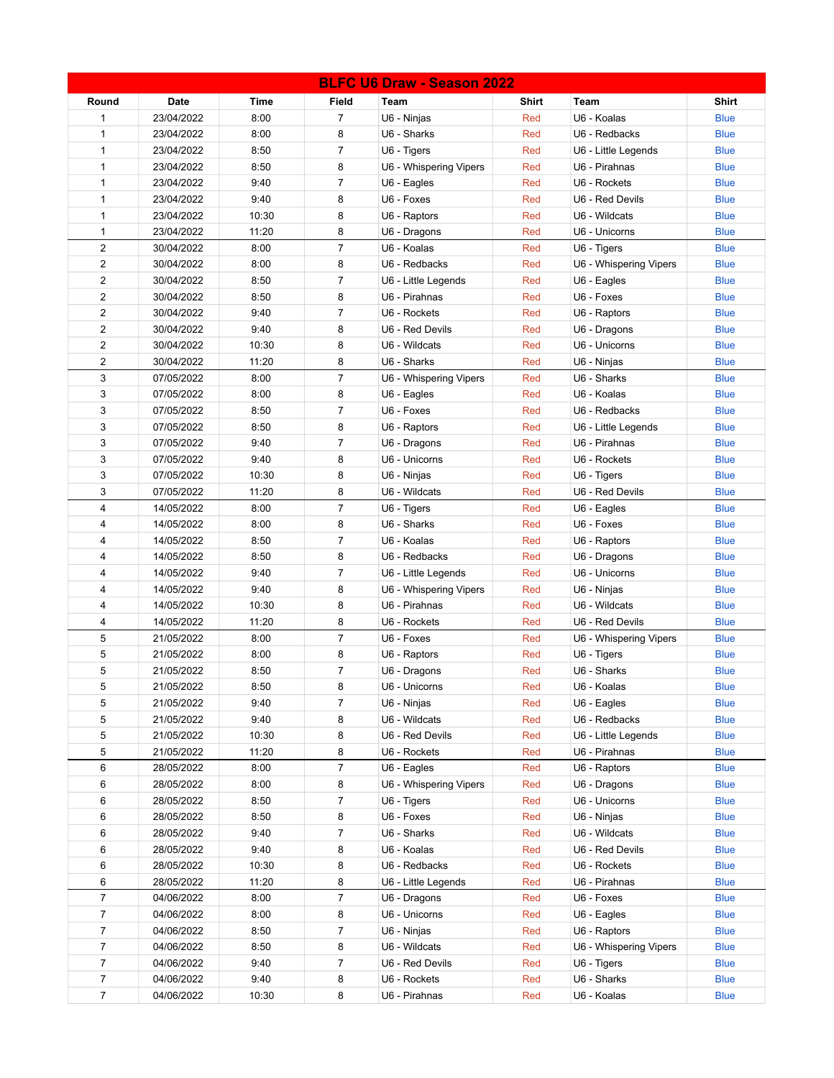| <b>BLFC U6 Draw - Season 2022</b> |             |       |                |                        |              |                        |              |
|-----------------------------------|-------------|-------|----------------|------------------------|--------------|------------------------|--------------|
| Round                             | <b>Date</b> | Time  | Field          | Team                   | <b>Shirt</b> | <b>Team</b>            | <b>Shirt</b> |
| $\mathbf{1}$                      | 23/04/2022  | 8:00  | $\overline{7}$ | U6 - Ninjas            | Red          | U6 - Koalas            | <b>Blue</b>  |
| $\mathbf{1}$                      | 23/04/2022  | 8:00  | 8              | U6 - Sharks            | Red          | U6 - Redbacks          | <b>Blue</b>  |
| $\mathbf{1}$                      | 23/04/2022  | 8:50  | $\overline{7}$ | U6 - Tigers            | Red          | U6 - Little Legends    | <b>Blue</b>  |
| $\mathbf{1}$                      | 23/04/2022  | 8:50  | 8              | U6 - Whispering Vipers | Red          | U6 - Pirahnas          | <b>Blue</b>  |
| $\mathbf{1}$                      | 23/04/2022  | 9:40  | $\overline{7}$ | U6 - Eagles            | Red          | U6 - Rockets           | <b>Blue</b>  |
| $\mathbf{1}$                      | 23/04/2022  | 9:40  | 8              | U6 - Foxes             | Red          | U6 - Red Devils        | <b>Blue</b>  |
| $\mathbf{1}$                      | 23/04/2022  | 10:30 | 8              | U6 - Raptors           | Red          | U6 - Wildcats          | <b>Blue</b>  |
| 1                                 | 23/04/2022  | 11:20 | 8              | U6 - Dragons           | Red          | U6 - Unicorns          | <b>Blue</b>  |
| $\overline{c}$                    | 30/04/2022  | 8:00  | $\overline{7}$ | U6 - Koalas            | Red          | U6 - Tigers            | <b>Blue</b>  |
| $\overline{2}$                    | 30/04/2022  | 8:00  | 8              | U6 - Redbacks          | Red          | U6 - Whispering Vipers | <b>Blue</b>  |
| $\overline{2}$                    | 30/04/2022  | 8:50  | $\overline{7}$ | U6 - Little Legends    | Red          | U6 - Eagles            | <b>Blue</b>  |
| $\overline{2}$                    | 30/04/2022  | 8:50  | 8              | U6 - Pirahnas          | Red          | U6 - Foxes             | <b>Blue</b>  |
| $\overline{2}$                    | 30/04/2022  | 9:40  | $\overline{7}$ | U6 - Rockets           | Red          | U6 - Raptors           | <b>Blue</b>  |
| $\overline{2}$                    | 30/04/2022  | 9:40  | 8              | U6 - Red Devils        | Red          | U6 - Dragons           | <b>Blue</b>  |
| $\overline{2}$                    | 30/04/2022  | 10:30 | 8              | U6 - Wildcats          | Red          | U6 - Unicorns          | <b>Blue</b>  |
| $\overline{2}$                    | 30/04/2022  | 11:20 | 8              | U6 - Sharks            | Red          | U6 - Ninjas            | <b>Blue</b>  |
| 3                                 | 07/05/2022  | 8:00  | $\overline{7}$ | U6 - Whispering Vipers | Red          | U6 - Sharks            | <b>Blue</b>  |
| 3                                 | 07/05/2022  | 8:00  | 8              | U6 - Eagles            | Red          | U6 - Koalas            | <b>Blue</b>  |
| 3                                 | 07/05/2022  | 8:50  | $\overline{7}$ | U6 - Foxes             | Red          | U6 - Redbacks          | <b>Blue</b>  |
| 3                                 | 07/05/2022  | 8:50  | 8              | U6 - Raptors           | Red          | U6 - Little Legends    | <b>Blue</b>  |
| 3                                 | 07/05/2022  | 9:40  | $\overline{7}$ | U6 - Dragons           | Red          | U6 - Pirahnas          | <b>Blue</b>  |
| 3                                 | 07/05/2022  | 9:40  | 8              | U6 - Unicorns          | Red          | U6 - Rockets           | <b>Blue</b>  |
| 3                                 | 07/05/2022  | 10:30 | 8              | U6 - Ninjas            | Red          | U6 - Tigers            | <b>Blue</b>  |
| 3                                 | 07/05/2022  | 11:20 | 8              | U6 - Wildcats          | Red          | U6 - Red Devils        | <b>Blue</b>  |
| $\overline{4}$                    | 14/05/2022  | 8:00  | $\overline{7}$ | U6 - Tigers            | Red          | U6 - Eagles            | <b>Blue</b>  |
| 4                                 | 14/05/2022  | 8:00  | 8              | U6 - Sharks            | Red          | U6 - Foxes             | <b>Blue</b>  |
| 4                                 | 14/05/2022  | 8:50  | $\overline{7}$ | U6 - Koalas            | Red          | U6 - Raptors           | <b>Blue</b>  |
| 4                                 | 14/05/2022  | 8:50  | 8              | U6 - Redbacks          | Red          | U6 - Dragons           | <b>Blue</b>  |
| 4                                 | 14/05/2022  | 9:40  | $\overline{7}$ | U6 - Little Legends    | Red          | U6 - Unicorns          | <b>Blue</b>  |
| 4                                 | 14/05/2022  | 9:40  | 8              | U6 - Whispering Vipers | Red          | U6 - Ninjas            | <b>Blue</b>  |
| 4                                 | 14/05/2022  | 10:30 | 8              | U6 - Pirahnas          | Red          | U6 - Wildcats          | <b>Blue</b>  |
| 4                                 | 14/05/2022  | 11:20 | 8              | U6 - Rockets           | Red          | U6 - Red Devils        | <b>Blue</b>  |
| 5                                 | 21/05/2022  | 8:00  | $\overline{7}$ | U6 - Foxes             | Red          | U6 - Whispering Vipers | <b>Blue</b>  |
| 5                                 | 21/05/2022  | 8:00  | 8              | U6 - Raptors           | Red          | U6 - Tigers            | <b>Blue</b>  |
| 5                                 | 21/05/2022  | 8:50  | $\overline{7}$ | U6 - Dragons           | Red          | U6 - Sharks            | <b>Blue</b>  |
| 5                                 | 21/05/2022  | 8:50  | 8              | U6 - Unicorns          | Red          | U6 - Koalas            | <b>Blue</b>  |
| 5                                 | 21/05/2022  | 9:40  | 7              | U6 - Ninjas            | Red          | U6 - Eagles            | <b>Blue</b>  |
| 5                                 | 21/05/2022  | 9:40  | 8              | U6 - Wildcats          | Red          | U6 - Redbacks          | <b>Blue</b>  |
| 5                                 | 21/05/2022  | 10:30 | 8              | U6 - Red Devils        | Red          | U6 - Little Legends    | <b>Blue</b>  |
| 5                                 | 21/05/2022  | 11:20 | 8              | U6 - Rockets           | Red          | U6 - Pirahnas          | <b>Blue</b>  |
| 6                                 | 28/05/2022  | 8:00  | $\overline{7}$ | U6 - Eagles            | Red          | U6 - Raptors           | <b>Blue</b>  |
| 6                                 | 28/05/2022  | 8:00  | 8              | U6 - Whispering Vipers | Red          | U6 - Dragons           | <b>Blue</b>  |
| 6                                 | 28/05/2022  | 8:50  | $\overline{7}$ | U6 - Tigers            | Red          | U6 - Unicorns          | <b>Blue</b>  |
| 6                                 | 28/05/2022  | 8:50  | 8              | U6 - Foxes             | Red          | U6 - Ninjas            | <b>Blue</b>  |
| 6                                 | 28/05/2022  | 9:40  | $\overline{7}$ | U6 - Sharks            | Red          | U6 - Wildcats          | <b>Blue</b>  |
| 6                                 | 28/05/2022  | 9:40  | 8              | U6 - Koalas            | Red          | U6 - Red Devils        | <b>Blue</b>  |
| 6                                 | 28/05/2022  | 10:30 | 8              | U6 - Redbacks          | Red          | U6 - Rockets           | <b>Blue</b>  |
| 6                                 | 28/05/2022  | 11:20 | 8              | U6 - Little Legends    | Red          | U6 - Pirahnas          | <b>Blue</b>  |
| $\overline{7}$                    | 04/06/2022  | 8:00  | $\overline{7}$ | U6 - Dragons           | Red          | U6 - Foxes             | <b>Blue</b>  |
| $\overline{7}$                    | 04/06/2022  | 8:00  | 8              | U6 - Unicorns          | Red          | U6 - Eagles            | <b>Blue</b>  |
| $\overline{7}$                    | 04/06/2022  | 8:50  | $\overline{7}$ | U6 - Ninjas            | Red          | U6 - Raptors           | <b>Blue</b>  |
| $\overline{7}$                    | 04/06/2022  | 8:50  | 8              | U6 - Wildcats          | Red          | U6 - Whispering Vipers | <b>Blue</b>  |
| $\overline{7}$                    | 04/06/2022  | 9:40  | $\overline{7}$ | U6 - Red Devils        | Red          | U6 - Tigers            | <b>Blue</b>  |
| $\overline{7}$                    | 04/06/2022  | 9:40  | 8              | U6 - Rockets           | Red          | U6 - Sharks            | <b>Blue</b>  |
| $\overline{7}$                    | 04/06/2022  | 10:30 | 8              | U6 - Pirahnas          | Red          | U6 - Koalas            | <b>Blue</b>  |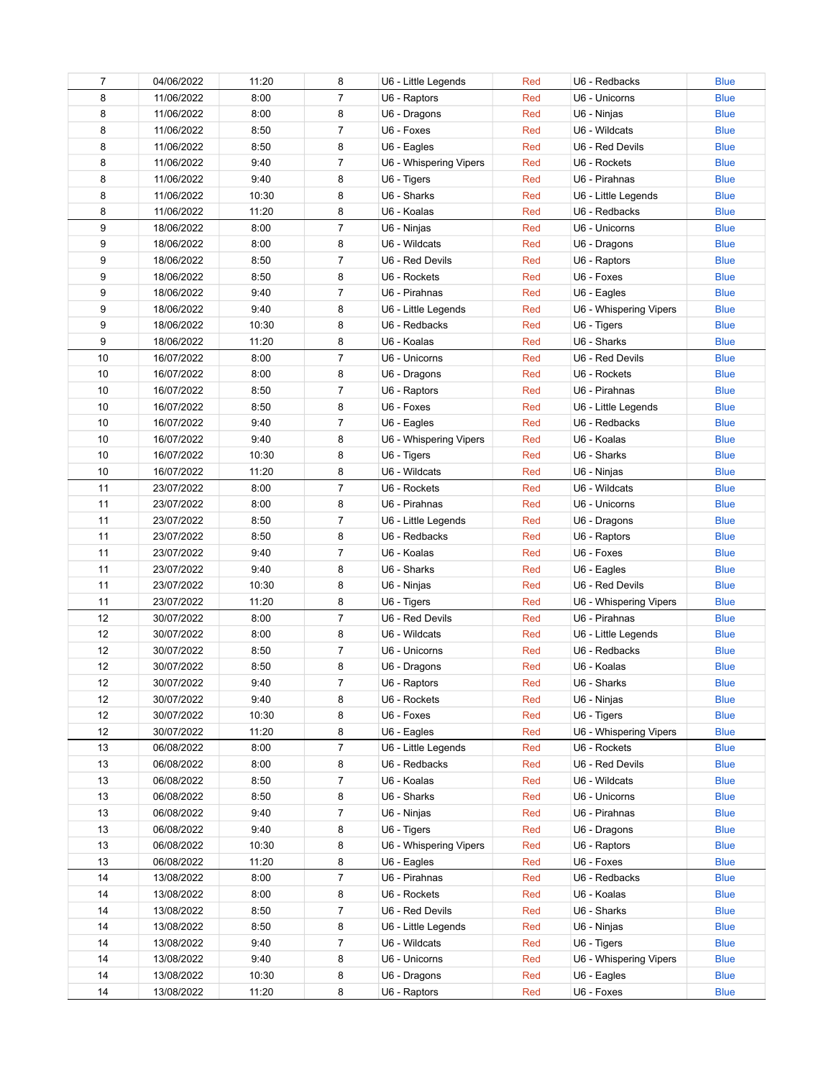| 7  | 04/06/2022 | 11:20 | 8              | U6 - Little Legends    | Red | U6 - Redbacks          | <b>Blue</b> |
|----|------------|-------|----------------|------------------------|-----|------------------------|-------------|
| 8  | 11/06/2022 | 8:00  | $\overline{7}$ | U6 - Raptors           | Red | U6 - Unicorns          | <b>Blue</b> |
| 8  | 11/06/2022 | 8:00  | 8              | U6 - Dragons           | Red | U6 - Ninjas            | <b>Blue</b> |
| 8  | 11/06/2022 | 8:50  | $\overline{7}$ | U6 - Foxes             | Red | U6 - Wildcats          | <b>Blue</b> |
| 8  | 11/06/2022 | 8:50  | 8              | U6 - Eagles            | Red | U6 - Red Devils        | <b>Blue</b> |
| 8  | 11/06/2022 | 9:40  | 7              | U6 - Whispering Vipers | Red | U6 - Rockets           | <b>Blue</b> |
| 8  | 11/06/2022 | 9:40  | 8              | U6 - Tigers            | Red | U6 - Pirahnas          | <b>Blue</b> |
| 8  | 11/06/2022 | 10:30 | 8              | U6 - Sharks            | Red | U6 - Little Legends    | <b>Blue</b> |
| 8  | 11/06/2022 | 11:20 | 8              | U6 - Koalas            | Red | U6 - Redbacks          | <b>Blue</b> |
| 9  | 18/06/2022 | 8:00  | 7              | U6 - Ninjas            | Red | U6 - Unicorns          | <b>Blue</b> |
| 9  | 18/06/2022 | 8:00  | 8              | U6 - Wildcats          | Red | U6 - Dragons           | <b>Blue</b> |
| 9  | 18/06/2022 | 8:50  | 7              | U6 - Red Devils        | Red | U6 - Raptors           | <b>Blue</b> |
| 9  | 18/06/2022 | 8:50  | 8              | U6 - Rockets           | Red | U6 - Foxes             | <b>Blue</b> |
| 9  | 18/06/2022 | 9:40  | 7              | U6 - Pirahnas          | Red | U6 - Eagles            | <b>Blue</b> |
| 9  | 18/06/2022 | 9:40  | 8              | U6 - Little Legends    | Red | U6 - Whispering Vipers | <b>Blue</b> |
| 9  | 18/06/2022 | 10:30 | 8              | U6 - Redbacks          | Red | U6 - Tigers            | <b>Blue</b> |
| 9  | 18/06/2022 | 11:20 | 8              | U6 - Koalas            | Red | U6 - Sharks            | <b>Blue</b> |
| 10 | 16/07/2022 | 8:00  | $\overline{7}$ | U6 - Unicorns          | Red | U6 - Red Devils        | <b>Blue</b> |
| 10 | 16/07/2022 | 8:00  | 8              | U6 - Dragons           | Red | U6 - Rockets           | <b>Blue</b> |
| 10 | 16/07/2022 | 8:50  | $\overline{7}$ | U6 - Raptors           | Red | U6 - Pirahnas          | <b>Blue</b> |
| 10 | 16/07/2022 | 8:50  | 8              | U6 - Foxes             | Red | U6 - Little Legends    | <b>Blue</b> |
| 10 | 16/07/2022 | 9:40  | 7              | U6 - Eagles            | Red | U6 - Redbacks          | <b>Blue</b> |
| 10 | 16/07/2022 | 9:40  | 8              | U6 - Whispering Vipers | Red | U6 - Koalas            | <b>Blue</b> |
| 10 | 16/07/2022 | 10:30 | 8              | U6 - Tigers            | Red | U6 - Sharks            | <b>Blue</b> |
| 10 | 16/07/2022 | 11:20 | 8              | U6 - Wildcats          | Red | U6 - Ninjas            | <b>Blue</b> |
| 11 | 23/07/2022 | 8:00  | $\overline{7}$ | U6 - Rockets           | Red | U6 - Wildcats          | <b>Blue</b> |
| 11 | 23/07/2022 | 8:00  | 8              | U6 - Pirahnas          | Red | U6 - Unicorns          | <b>Blue</b> |
| 11 | 23/07/2022 | 8:50  | 7              | U6 - Little Legends    | Red | U6 - Dragons           | <b>Blue</b> |
| 11 | 23/07/2022 | 8:50  | 8              | U6 - Redbacks          | Red | U6 - Raptors           | <b>Blue</b> |
| 11 | 23/07/2022 | 9:40  | 7              | U6 - Koalas            | Red | U6 - Foxes             | <b>Blue</b> |
| 11 | 23/07/2022 | 9:40  | 8              | U6 - Sharks            | Red | U6 - Eagles            | <b>Blue</b> |
| 11 | 23/07/2022 | 10:30 | 8              | U6 - Ninjas            | Red | U6 - Red Devils        | <b>Blue</b> |
| 11 | 23/07/2022 | 11:20 | 8              | U6 - Tigers            | Red | U6 - Whispering Vipers | <b>Blue</b> |
| 12 | 30/07/2022 | 8:00  | 7              | U6 - Red Devils        | Red | U6 - Pirahnas          | <b>Blue</b> |
| 12 | 30/07/2022 | 8:00  | 8              | U6 - Wildcats          | Red | U6 - Little Legends    | <b>Blue</b> |
| 12 | 30/07/2022 | 8:50  | 7              | U6 - Unicorns          | Red | U6 - Redbacks          | <b>Blue</b> |
| 12 | 30/07/2022 | 8:50  | 8              | U6 - Dragons           | Red | U6 - Koalas            | <b>Blue</b> |
| 12 | 30/07/2022 | 9:40  | 7              | U6 - Raptors           | Red | U6 - Sharks            | <b>Blue</b> |
| 12 | 30/07/2022 | 9:40  | 8              | U6 - Rockets           | Red | U6 - Ninjas            | <b>Blue</b> |
| 12 | 30/07/2022 | 10:30 | 8              | U6 - Foxes             | Red | U6 - Tigers            | <b>Blue</b> |
| 12 | 30/07/2022 | 11:20 | 8              | U6 - Eagles            | Red | U6 - Whispering Vipers | <b>Blue</b> |
| 13 | 06/08/2022 | 8:00  | 7              | U6 - Little Legends    | Red | U6 - Rockets           | <b>Blue</b> |
| 13 | 06/08/2022 | 8:00  | 8              | U6 - Redbacks          | Red | U6 - Red Devils        | <b>Blue</b> |
| 13 | 06/08/2022 | 8:50  | 7              | U6 - Koalas            | Red | U6 - Wildcats          | <b>Blue</b> |
| 13 | 06/08/2022 | 8:50  | 8              | U6 - Sharks            | Red | U6 - Unicorns          | <b>Blue</b> |
| 13 | 06/08/2022 | 9:40  | 7              | U6 - Ninjas            | Red | U6 - Pirahnas          | <b>Blue</b> |
| 13 | 06/08/2022 | 9:40  | 8              | U6 - Tigers            | Red | U6 - Dragons           | <b>Blue</b> |
| 13 | 06/08/2022 | 10:30 | 8              | U6 - Whispering Vipers | Red | U6 - Raptors           | <b>Blue</b> |
| 13 | 06/08/2022 | 11:20 | 8              | U6 - Eagles            | Red | U6 - Foxes             | <b>Blue</b> |
| 14 | 13/08/2022 | 8:00  | 7              | U6 - Pirahnas          | Red | U6 - Redbacks          | <b>Blue</b> |
| 14 | 13/08/2022 | 8:00  | 8              | U6 - Rockets           | Red | U6 - Koalas            | <b>Blue</b> |
| 14 | 13/08/2022 | 8:50  | 7              | U6 - Red Devils        | Red | U6 - Sharks            | <b>Blue</b> |
| 14 | 13/08/2022 | 8:50  | 8              | U6 - Little Legends    | Red | U6 - Ninjas            | <b>Blue</b> |
| 14 | 13/08/2022 | 9:40  | 7              | U6 - Wildcats          | Red | U6 - Tigers            | <b>Blue</b> |
| 14 | 13/08/2022 | 9:40  | 8              | U6 - Unicorns          | Red | U6 - Whispering Vipers | <b>Blue</b> |
| 14 | 13/08/2022 | 10:30 | 8              | U6 - Dragons           | Red | U6 - Eagles            | <b>Blue</b> |
| 14 | 13/08/2022 | 11:20 | 8              | U6 - Raptors           | Red | U6 - Foxes             | <b>Blue</b> |